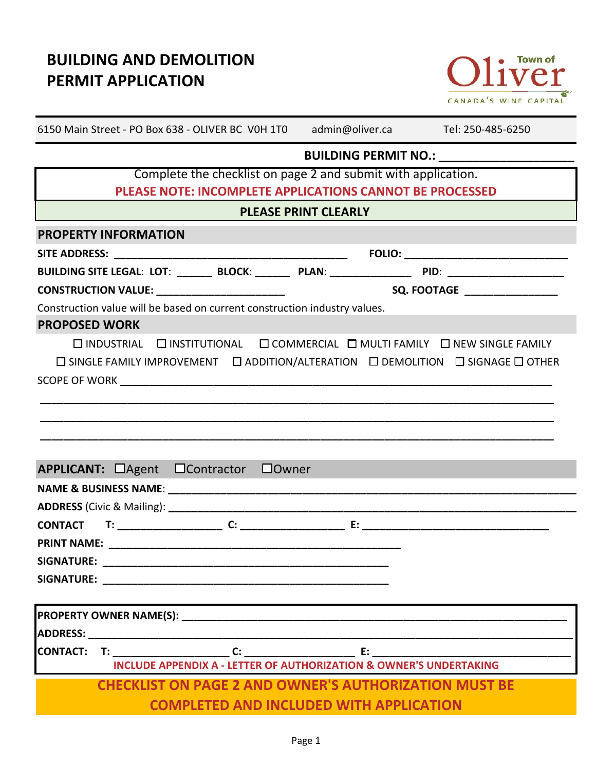# **BUILDING AND DEMOLITION PERMIT APPLICATION**



| 6150 Main Street - PO Box 638 - OLIVER BC VOH 1TO admin@oliver.ca Tel: 250-485-6250                                                                                                                                            |                             |                                      |
|--------------------------------------------------------------------------------------------------------------------------------------------------------------------------------------------------------------------------------|-----------------------------|--------------------------------------|
|                                                                                                                                                                                                                                |                             | BUILDING PERMIT NO.: _______________ |
| Complete the checklist on page 2 and submit with application.                                                                                                                                                                  |                             |                                      |
| PLEASE NOTE: INCOMPLETE APPLICATIONS CANNOT BE PROCESSED                                                                                                                                                                       |                             |                                      |
|                                                                                                                                                                                                                                | <b>PLEASE PRINT CLEARLY</b> |                                      |
| <b>PROPERTY INFORMATION</b>                                                                                                                                                                                                    |                             |                                      |
|                                                                                                                                                                                                                                |                             |                                      |
| BUILDING SITE LEGAL: LOT: ________ BLOCK: ________ PLAN: __________________ PID: ___________________                                                                                                                           |                             |                                      |
| <b>CONSTRUCTION VALUE: __________________________</b>                                                                                                                                                                          |                             | SQ. FOOTAGE __________________       |
| Construction value will be based on current construction industry values.                                                                                                                                                      |                             |                                      |
| <b>PROPOSED WORK</b>                                                                                                                                                                                                           |                             |                                      |
| □ INDUSTRIAL □ INSTITUTIONAL □ COMMERCIAL □ MULTI FAMILY □ NEW SINGLE FAMILY                                                                                                                                                   |                             |                                      |
| $\square$ SINGLE FAMILY IMPROVEMENT $\square$ ADDITION/ALTERATION $\square$ DEMOLITION $\square$ SIGNAGE $\square$ OTHER                                                                                                       |                             |                                      |
|                                                                                                                                                                                                                                |                             |                                      |
|                                                                                                                                                                                                                                |                             |                                      |
|                                                                                                                                                                                                                                |                             |                                      |
|                                                                                                                                                                                                                                |                             |                                      |
|                                                                                                                                                                                                                                |                             |                                      |
| APPLICANT: □Agent □Contractor □Owner                                                                                                                                                                                           |                             |                                      |
|                                                                                                                                                                                                                                |                             |                                      |
|                                                                                                                                                                                                                                |                             |                                      |
|                                                                                                                                                                                                                                |                             |                                      |
| <b>PRINT NAME:</b>                                                                                                                                                                                                             |                             |                                      |
|                                                                                                                                                                                                                                |                             |                                      |
| SIGNATURE: the contract of the contract of the contract of the contract of the contract of the contract of the contract of the contract of the contract of the contract of the contract of the contract of the contract of the |                             |                                      |
|                                                                                                                                                                                                                                |                             |                                      |
|                                                                                                                                                                                                                                |                             |                                      |
|                                                                                                                                                                                                                                |                             |                                      |
|                                                                                                                                                                                                                                |                             |                                      |
| <b>INCLUDE APPENDIX A - LETTER OF AUTHORIZATION &amp; OWNER'S UNDERTAKING</b>                                                                                                                                                  |                             |                                      |
| <b>CHECKLIST ON PAGE 2 AND OWNER'S AUTHORIZATION MUST BE</b>                                                                                                                                                                   |                             |                                      |
| <b>COMPLETED AND INCLUDED WITH APPLICATION</b>                                                                                                                                                                                 |                             |                                      |
|                                                                                                                                                                                                                                |                             |                                      |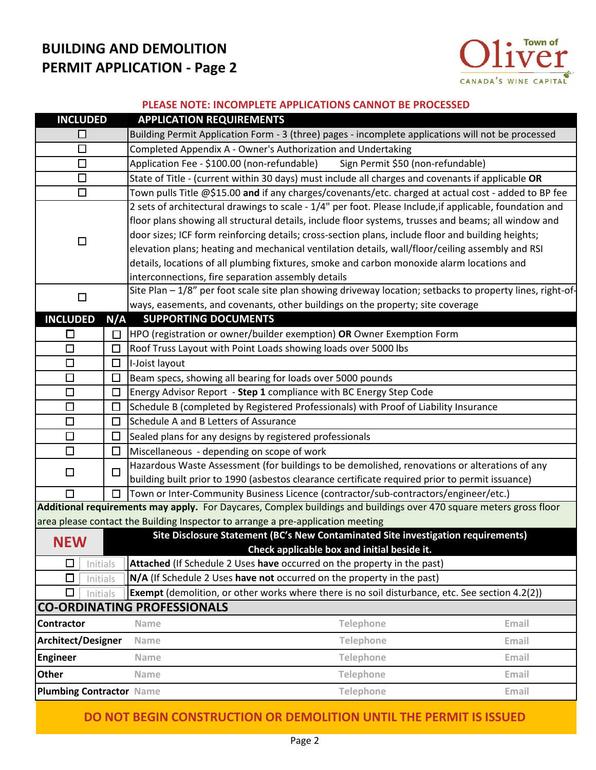## **BUILDING AND DEMOLITION PERMIT APPLICATION - Page 2**



#### **PLEASE NOTE: INCOMPLETE APPLICATIONS CANNOT BE PROCESSED**

|                                    | <b>APPLICATION REQUIREMENTS</b>                                                                                                  |  |  |  |  |
|------------------------------------|----------------------------------------------------------------------------------------------------------------------------------|--|--|--|--|
| □                                  | Building Permit Application Form - 3 (three) pages - incomplete applications will not be processed                               |  |  |  |  |
| $\Box$                             | Completed Appendix A - Owner's Authorization and Undertaking                                                                     |  |  |  |  |
| $\Box$                             | Application Fee - \$100.00 (non-refundable)<br>Sign Permit \$50 (non-refundable)                                                 |  |  |  |  |
| □                                  | State of Title - (current within 30 days) must include all charges and covenants if applicable OR                                |  |  |  |  |
| $\Box$                             | Town pulls Title @\$15.00 and if any charges/covenants/etc. charged at actual cost - added to BP fee                             |  |  |  |  |
|                                    | 2 sets of architectural drawings to scale - 1/4" per foot. Please Include, if applicable, foundation and                         |  |  |  |  |
|                                    | floor plans showing all structural details, include floor systems, trusses and beams; all window and                             |  |  |  |  |
| $\Box$                             | door sizes; ICF form reinforcing details; cross-section plans, include floor and building heights;                               |  |  |  |  |
|                                    | elevation plans; heating and mechanical ventilation details, wall/floor/ceiling assembly and RSI                                 |  |  |  |  |
|                                    | details, locations of all plumbing fixtures, smoke and carbon monoxide alarm locations and                                       |  |  |  |  |
|                                    | interconnections, fire separation assembly details                                                                               |  |  |  |  |
| $\Box$                             | Site Plan - 1/8" per foot scale site plan showing driveway location; setbacks to property lines, right-of-                       |  |  |  |  |
|                                    | ways, easements, and covenants, other buildings on the property; site coverage                                                   |  |  |  |  |
| <b>INCLUDED</b><br>N/A             | <b>SUPPORTING DOCUMENTS</b>                                                                                                      |  |  |  |  |
| □<br>□                             | HPO (registration or owner/builder exemption) OR Owner Exemption Form                                                            |  |  |  |  |
| $\Box$<br>□                        | Roof Truss Layout with Point Loads showing loads over 5000 lbs                                                                   |  |  |  |  |
| $\Box$<br>$\Box$                   | I-Joist layout                                                                                                                   |  |  |  |  |
| $\Box$<br>□                        | Beam specs, showing all bearing for loads over 5000 pounds                                                                       |  |  |  |  |
| $\Box$<br>$\Box$                   | Energy Advisor Report - Step 1 compliance with BC Energy Step Code                                                               |  |  |  |  |
| $\Box$<br>$\Box$                   | Schedule B (completed by Registered Professionals) with Proof of Liability Insurance                                             |  |  |  |  |
| $\Box$<br>$\Box$                   | Schedule A and B Letters of Assurance                                                                                            |  |  |  |  |
| $\Box$<br>□                        | Sealed plans for any designs by registered professionals                                                                         |  |  |  |  |
| $\Box$<br>$\Box$                   | Miscellaneous - depending on scope of work                                                                                       |  |  |  |  |
| $\Box$<br>$\Box$                   | Hazardous Waste Assessment (for buildings to be demolished, renovations or alterations of any                                    |  |  |  |  |
|                                    | building built prior to 1990 (asbestos clearance certificate required prior to permit issuance)                                  |  |  |  |  |
| $\Box$                             | Town or Inter-Community Business Licence (contractor/sub-contractors/engineer/etc.)                                              |  |  |  |  |
|                                    | Additional requirements may apply. For Daycares, Complex buildings and buildings over 470 square meters gross floor              |  |  |  |  |
|                                    | area please contact the Building Inspector to arrange a pre-application meeting                                                  |  |  |  |  |
| <b>NEW</b>                         | Site Disclosure Statement (BC's New Contaminated Site investigation requirements)<br>Check applicable box and initial beside it. |  |  |  |  |
| $\Box$<br>Initials                 | Attached (If Schedule 2 Uses have occurred on the property in the past)                                                          |  |  |  |  |
| $\Box$<br>Initials                 | N/A (If Schedule 2 Uses have not occurred on the property in the past)                                                           |  |  |  |  |
| □<br>Initials                      | <b>Exempt</b> (demolition, or other works where there is no soil disturbance, etc. See section 4.2(2))                           |  |  |  |  |
| <b>CO-ORDINATING PROFESSIONALS</b> |                                                                                                                                  |  |  |  |  |
| <b>Contractor</b>                  | Telephone<br>Email<br><b>Name</b>                                                                                                |  |  |  |  |
|                                    |                                                                                                                                  |  |  |  |  |
| Architect/Designer                 | Telephone<br>Name<br>Email                                                                                                       |  |  |  |  |
| <b>Engineer</b>                    | Telephone<br>Email<br>Name                                                                                                       |  |  |  |  |
| <b>Other</b>                       | Telephone<br>Email<br><b>Name</b>                                                                                                |  |  |  |  |
| <b>Plumbing Contractor Name</b>    | Email<br>Telephone                                                                                                               |  |  |  |  |

**DO NOT BEGIN CONSTRUCTION OR DEMOLITION UNTIL THE PERMIT IS ISSUED**